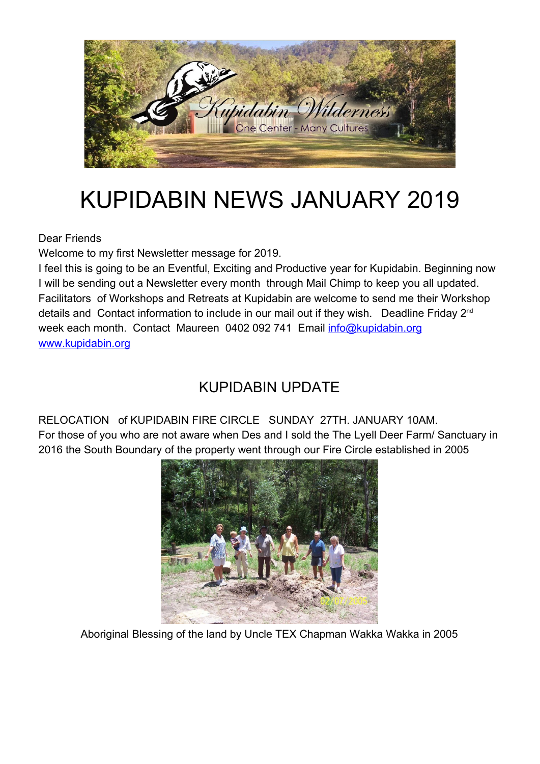

# KUPIDABIN NEWS JANUARY 2019

Dear Friends

Welcome to my first Newsletter message for 2019.

I feel this is going to be an Eventful, Exciting and Productive year for Kupidabin. Beginning now I will be sending out a Newsletter every month through Mail Chimp to keep you all updated. Facilitators of Workshops and Retreats at Kupidabin are welcome to send me their Workshop details and Contact information to include in our mail out if they wish. Deadline Friday 2<sup>nd</sup> week each month. Contact Maureen 0402 092 741 Email info@kupidabin.org [www.kupidabin.org](http://www.kupidabin.org/)

## KUPIDABIN UPDATE

RELOCATION of KUPIDABIN FIRE CIRCLE SUNDAY 27TH. JANUARY 10AM. For those of you who are not aware when Des and I sold the The Lyell Deer Farm/ Sanctuary in 2016 the South Boundary of the property went through our Fire Circle established in 2005



Aboriginal Blessing of the land by Uncle TEX Chapman Wakka Wakka in 2005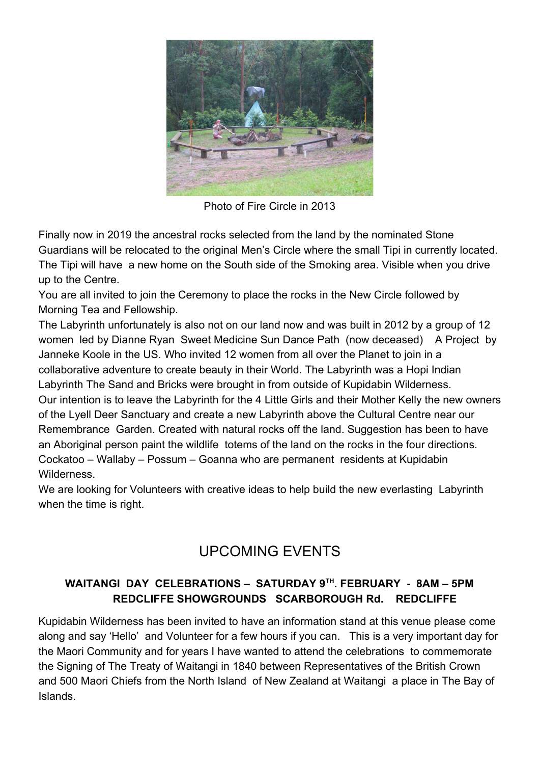

Photo of Fire Circle in 2013

Finally now in 2019 the ancestral rocks selected from the land by the nominated Stone Guardians will be relocated to the original Men's Circle where the small Tipi in currently located. The Tipi will have a new home on the South side of the Smoking area. Visible when you drive up to the Centre.

You are all invited to join the Ceremony to place the rocks in the New Circle followed by Morning Tea and Fellowship.

The Labyrinth unfortunately is also not on our land now and was built in 2012 by a group of 12 women led by Dianne Ryan Sweet Medicine Sun Dance Path (now deceased) A Project by Janneke Koole in the US. Who invited 12 women from all over the Planet to join in a collaborative adventure to create beauty in their World. The Labyrinth was a Hopi Indian Labyrinth The Sand and Bricks were brought in from outside of Kupidabin Wilderness. Our intention is to leave the Labyrinth for the 4 Little Girls and their Mother Kelly the new owners of the Lyell Deer Sanctuary and create a new Labyrinth above the Cultural Centre near our Remembrance Garden. Created with natural rocks off the land. Suggestion has been to have an Aboriginal person paint the wildlife totems of the land on the rocks in the four directions. Cockatoo – Wallaby – Possum – Goanna who are permanent residents at Kupidabin Wilderness.

We are looking for Volunteers with creative ideas to help build the new everlasting Labyrinth when the time is right.

## UPCOMING EVENTS

### **WAITANGI DAY CELEBRATIONS – SATURDAY 9TH . FEBRUARY - 8AM – 5PM REDCLIFFE SHOWGROUNDS SCARBOROUGH Rd. REDCLIFFE**

Kupidabin Wilderness has been invited to have an information stand at this venue please come along and say 'Hello' and Volunteer for a few hours if you can. This is a very important day for the Maori Community and for years I have wanted to attend the celebrations to commemorate the Signing of The Treaty of Waitangi in 1840 between Representatives of the British Crown and 500 Maori Chiefs from the North Island of New Zealand at Waitangi a place in The Bay of Islands.